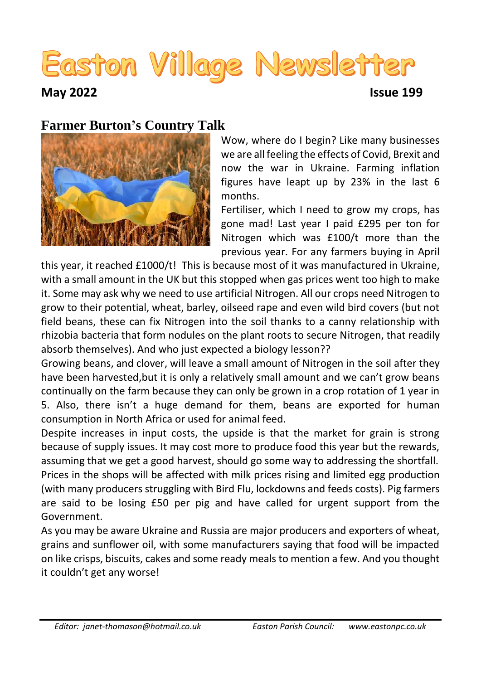# Easton Village Newsletter

**May 2022 Issue 199**

#### **Farmer Burton's Country Talk**



Wow, where do I begin? Like many businesses we are all feeling the effects of Covid, Brexit and now the war in Ukraine. Farming inflation figures have leapt up by 23% in the last 6 months.

Fertiliser, which I need to grow my crops, has gone mad! Last year I paid £295 per ton for Nitrogen which was £100/t more than the previous year. For any farmers buying in April

this year, it reached £1000/t! This is because most of it was manufactured in Ukraine, with a small amount in the UK but this stopped when gas prices went too high to make it. Some may ask why we need to use artificial Nitrogen. All our crops need Nitrogen to grow to their potential, wheat, barley, oilseed rape and even wild bird covers (but not field beans, these can fix Nitrogen into the soil thanks to a canny relationship with rhizobia bacteria that form nodules on the plant roots to secure Nitrogen, that readily absorb themselves). And who just expected a biology lesson??

Growing beans, and clover, will leave a small amount of Nitrogen in the soil after they have been harvested,but it is only a relatively small amount and we can't grow beans continually on the farm because they can only be grown in a crop rotation of 1 year in 5. Also, there isn't a huge demand for them, beans are exported for human consumption in North Africa or used for animal feed.

Despite increases in input costs, the upside is that the market for grain is strong because of supply issues. It may cost more to produce food this year but the rewards, assuming that we get a good harvest, should go some way to addressing the shortfall.

Prices in the shops will be affected with milk prices rising and limited egg production (with many producers struggling with Bird Flu, lockdowns and feeds costs). Pig farmers are said to be losing £50 per pig and have called for urgent support from the Government.

As you may be aware Ukraine and Russia are major producers and exporters of wheat, grains and sunflower oil, with some manufacturers saying that food will be impacted on like crisps, biscuits, cakes and some ready meals to mention a few. And you thought it couldn't get any worse!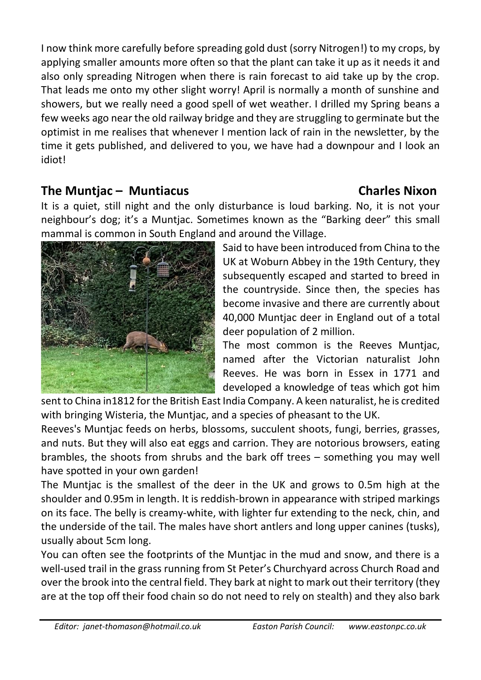I now think more carefully before spreading gold dust (sorry Nitrogen!) to my crops, by applying smaller amounts more often so that the plant can take it up as it needs it and also only spreading Nitrogen when there is rain forecast to aid take up by the crop. That leads me onto my other slight worry! April is normally a month of sunshine and showers, but we really need a good spell of wet weather. I drilled my Spring beans a few weeks ago near the old railway bridge and they are struggling to germinate but the optimist in me realises that whenever I mention lack of rain in the newsletter, by the time it gets published, and delivered to you, we have had a downpour and I look an idiot!

### **The Muntjac – Muntiacus Charles Nixon**

It is a quiet, still night and the only disturbance is loud barking. No, it is not your neighbour's dog; it's a Muntjac. Sometimes known as the "Barking deer" this small mammal is common in South England and around the Village.



The most common is the Reeves Muntjac, named after the Victorian naturalist John Reeves. He was born in Essex in 1771 and developed a knowledge of teas which got him

sent to China in1812 for the British East India Company. A keen naturalist, he is credited with bringing Wisteria, the Muntjac, and a species of pheasant to the UK.

Reeves's Muntjac feeds on herbs, blossoms, succulent shoots, fungi, berries, grasses, and nuts. But they will also eat eggs and carrion. They are notorious browsers, eating brambles, the shoots from shrubs and the bark off trees – something you may well have spotted in your own garden!

The Muntjac is the smallest of the deer in the UK and grows to 0.5m high at the shoulder and 0.95m in length. It is reddish-brown in appearance with striped markings on its face. The belly is creamy-white, with lighter fur extending to the neck, chin, and the underside of the tail. The males have short antlers and long upper canines (tusks), usually about 5cm long.

You can often see the footprints of the Muntjac in the mud and snow, and there is a well-used trail in the grass running from St Peter's Churchyard across Church Road and over the brook into the central field. They bark at night to mark out their territory (they are at the top off their food chain so do not need to rely on stealth) and they also bark

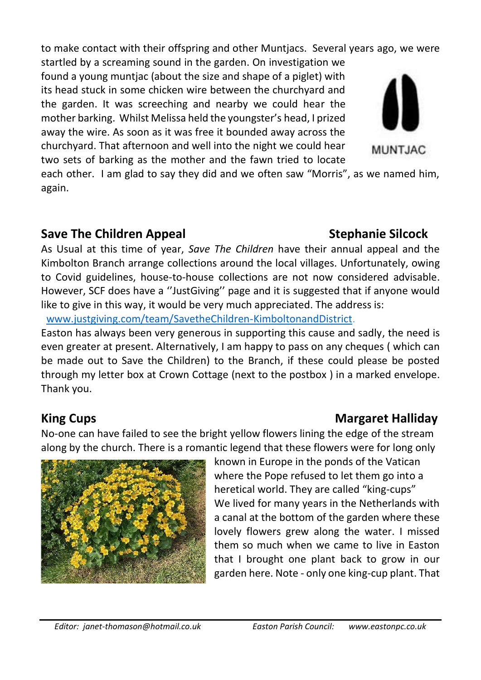to make contact with their offspring and other Muntjacs. Several years ago, we were

startled by a screaming sound in the garden. On investigation we found a young muntjac (about the size and shape of a piglet) with its head stuck in some chicken wire between the churchyard and the garden. It was screeching and nearby we could hear the mother barking. Whilst Melissa held the youngster's head, I prized away the wire. As soon as it was free it bounded away across the churchyard. That afternoon and well into the night we could hear two sets of barking as the mother and the fawn tried to locate

each other. I am glad to say they did and we often saw "Morris", as we named him, again.

#### **Save The Children Appeal Stephanie Silcock**

As Usual at this time of year, *Save The Children* have their annual appeal and the Kimbolton Branch arrange collections around the local villages. Unfortunately, owing to Covid guidelines, house-to-house collections are not now considered advisable. However, SCF does have a ''JustGiving'' page and it is suggested that if anyone would like to give in this way, it would be very much appreciated. The address is:

[www.justgiving.com/team/SavetheChildren-KimboltonandDistrict.](http://www.justgiving.com/team/SavetheChildren-KimboltonandDistrict)

Easton has always been very generous in supporting this cause and sadly, the need is even greater at present. Alternatively, I am happy to pass on any cheques ( which can be made out to Save the Children) to the Branch, if these could please be posted through my letter box at Crown Cottage (next to the postbox ) in a marked envelope. Thank you.

**King Cups Margaret Halliday Margaret Halliday** 

No-one can have failed to see the bright yellow flowers lining the edge of the stream along by the church. There is a romantic legend that these flowers were for long only

> known in Europe in the ponds of the Vatican where the Pope refused to let them go into a heretical world. They are called "king-cups" We lived for many years in the Netherlands with a canal at the bottom of the garden where these lovely flowers grew along the water. I missed them so much when we came to live in Easton that I brought one plant back to grow in our garden here. Note - only one king-cup plant. That